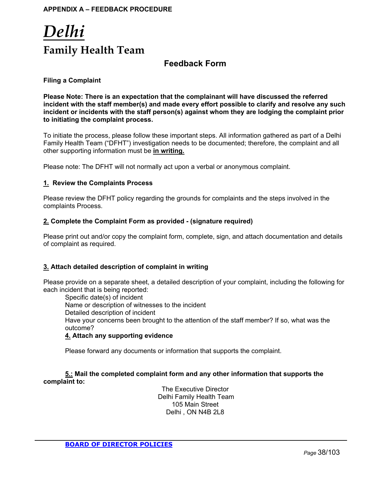## *Delhi* **Family Health Team**

## **Feedback Form**

#### **Filing a Complaint**

**Please Note: There is an expectation that the complainant will have discussed the referred incident with the staff member(s) and made every effort possible to clarify and resolve any such incident or incidents with the staff person(s) against whom they are lodging the complaint prior to initiating the complaint process.** 

To initiate the process, please follow these important steps. All information gathered as part of a Delhi Family Health Team ("DFHT") investigation needs to be documented; therefore, the complaint and all other supporting information must be **in writing.**

Please note: The DFHT will not normally act upon a verbal or anonymous complaint.

#### **1. Review the Complaints Process**

Please review the DFHT policy regarding the grounds for complaints and the steps involved in the complaints Process.

#### **2. Complete the Complaint Form as provided - (signature required)**

Please print out and/or copy the complaint form, complete, sign, and attach documentation and details of complaint as required.

#### **3. Attach detailed description of complaint in writing**

Please provide on a separate sheet, a detailed description of your complaint, including the following for each incident that is being reported:

Specific date(s) of incident Name or description of witnesses to the incident Detailed description of incident Have your concerns been brought to the attention of the staff member? If so, what was the outcome?

#### **4. Attach any supporting evidence**

Please forward any documents or information that supports the complaint.

**5.: Mail the completed complaint form and any other information that supports the complaint to:** 

> The Executive Director Delhi Family Health Team 105 Main Street Delhi , ON N4B 2L8